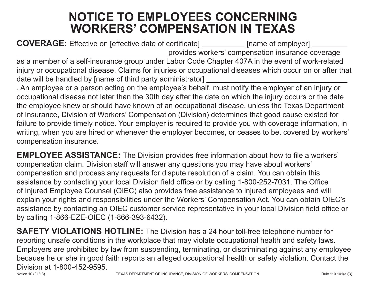## **NOTICE TO EMPLOYEES CONCERNING WORKERS' COMPENSATION IN TEXAS**

**COVERAGE:** Effective on [effective date of certificate] [name of employer] provides workers' compensation insurance coverage as a member of a self-insurance group under Labor Code Chapter 407A in the event of work-related injury or occupational disease. Claims for injuries or occupational diseases which occur on or after that date will be handled by [name of third party administrator] . An employee or a person acting on the employee's behalf, must notify the employer of an injury or

occupational disease not later than the 30th day after the date on which the injury occurs or the date the employee knew or should have known of an occupational disease, unless the Texas Department of Insurance, Division of Workers' Compensation (Division) determines that good cause existed for failure to provide timely notice. Your employer is required to provide you with coverage information, in writing, when you are hired or whenever the employer becomes, or ceases to be, covered by workers' compensation insurance.

**EMPLOYEE ASSISTANCE:** The Division provides free information about how to file a workers' compensation claim. Division staff will answer any questions you may have about workers' compensation and process any requests for dispute resolution of a claim. You can obtain this assistance by contacting your local Division field office or by calling 1-800-252-7031. The Office of Injured Employee Counsel (OIEC) also provides free assistance to injured employees and will explain your rights and responsibilities under the Workers' Compensation Act. You can obtain OIEC's assistance by contacting an OIEC customer service representative in your local Division field office or by calling 1-866-EZE-OIEC (1-866-393-6432).

**SAFETY VIOLATIONS HOTLINE:** The Division has a 24 hour toll-free telephone number for reporting unsafe conditions in the workplace that may violate occupational health and safety laws. Employers are prohibited by law from suspending, terminating, or discriminating against any employee because he or she in good faith reports an alleged occupational health or safety violation. Contact the Division at 1-800-452-9595.